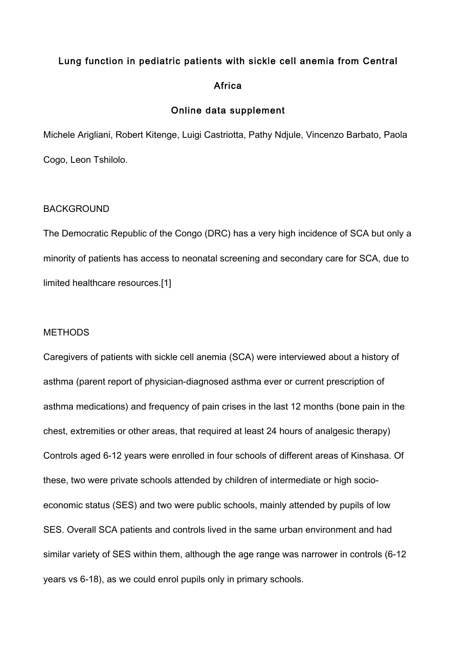# Lung function in pediatric patients with sickle cell anemia from Central **Africa**

# Online data supplement

Michele Arigliani, Robert Kitenge, Luigi Castriotta, Pathy Ndjule, Vincenzo Barbato, Paola Cogo, Leon Tshilolo.

## BACKGROUND

The Democratic Republic of the Congo (DRC) has a very high incidence of SCA but only a minority of patients has access to neonatal screening and secondary care for SCA, due to limited healthcare resources.[1]

## **METHODS**

Caregivers of patients with sickle cell anemia (SCA) were interviewed about a history of asthma (parent report of physician-diagnosed asthma ever or current prescription of asthma medications) and frequency of pain crises in the last 12 months (bone pain in the chest, extremities or other areas, that required at least 24 hours of analgesic therapy) Controls aged 6-12 years were enrolled in four schools of different areas of Kinshasa. Of these, two were private schools attended by children of intermediate or high socioeconomic status (SES) and two were public schools, mainly attended by pupils of low SES. Overall SCA patients and controls lived in the same urban environment and had similar variety of SES within them, although the age range was narrower in controls (6-12 years vs 6-18), as we could enrol pupils only in primary schools.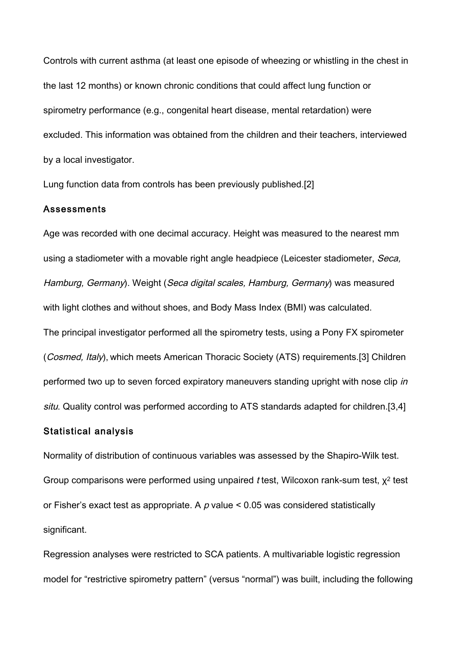Controls with current asthma (at least one episode of wheezing or whistling in the chest in the last 12 months) or known chronic conditions that could affect lung function or spirometry performance (e.g., congenital heart disease, mental retardation) were excluded. This information was obtained from the children and their teachers, interviewed by a local investigator.

Lung function data from controls has been previously published.[2]

#### Assessments

Age was recorded with one decimal accuracy. Height was measured to the nearest mm using a stadiometer with a movable right angle headpiece (Leicester stadiometer, Seca, Hamburg, Germany). Weight (Seca digital scales, Hamburg, Germany) was measured with light clothes and without shoes, and Body Mass Index (BMI) was calculated. The principal investigator performed all the spirometry tests, using a Pony FX spirometer (Cosmed, Italy), which meets American Thoracic Society (ATS) requirements.[3] Children performed two up to seven forced expiratory maneuvers standing upright with nose clip in situ. Quality control was performed according to ATS standards adapted for children.[3,4]

## Statistical analysis

Normality of distribution of continuous variables was assessed by the Shapiro-Wilk test. Group comparisons were performed using unpaired t test, Wilcoxon rank-sum test,  $\chi^2$  test or Fisher's exact test as appropriate. A  $p$  value  $\leq$  0.05 was considered statistically significant.

Regression analyses were restricted to SCA patients. A multivariable logistic regression model for "restrictive spirometry pattern" (versus "normal") was built, including the following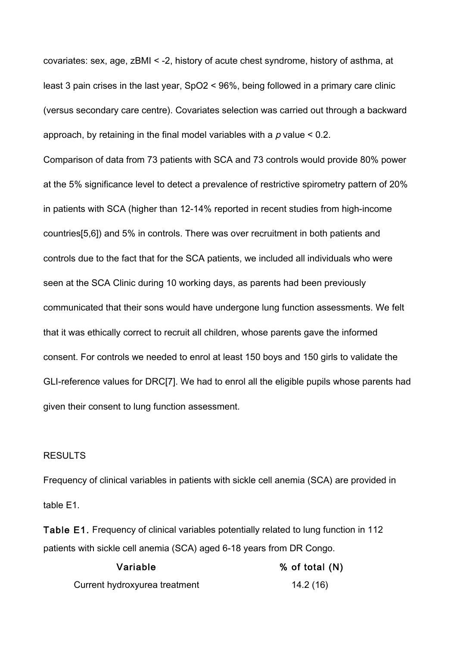covariates: sex, age, zBMI < -2, history of acute chest syndrome, history of asthma, at least 3 pain crises in the last year, SpO2 < 96%, being followed in a primary care clinic (versus secondary care centre). Covariates selection was carried out through a backward approach, by retaining in the final model variables with a  $p$  value  $\leq 0.2$ .

Comparison of data from 73 patients with SCA and 73 controls would provide 80% power at the 5% significance level to detect a prevalence of restrictive spirometry pattern of 20% in patients with SCA (higher than 12-14% reported in recent studies from high-income countries[5,6]) and 5% in controls. There was over recruitment in both patients and controls due to the fact that for the SCA patients, we included all individuals who were seen at the SCA Clinic during 10 working days, as parents had been previously communicated that their sons would have undergone lung function assessments. We felt that it was ethically correct to recruit all children, whose parents gave the informed consent. For controls we needed to enrol at least 150 boys and 150 girls to validate the GLI-reference values for DRC[7]. We had to enrol all the eligible pupils whose parents had given their consent to lung function assessment.

#### RESULTS

Frequency of clinical variables in patients with sickle cell anemia (SCA) are provided in table E1.

Table E1. Frequency of clinical variables potentially related to lung function in 112 patients with sickle cell anemia (SCA) aged 6-18 years from DR Congo.

| Variable                      | % of total (N) |
|-------------------------------|----------------|
| Current hydroxyurea treatment | 14.2 (16)      |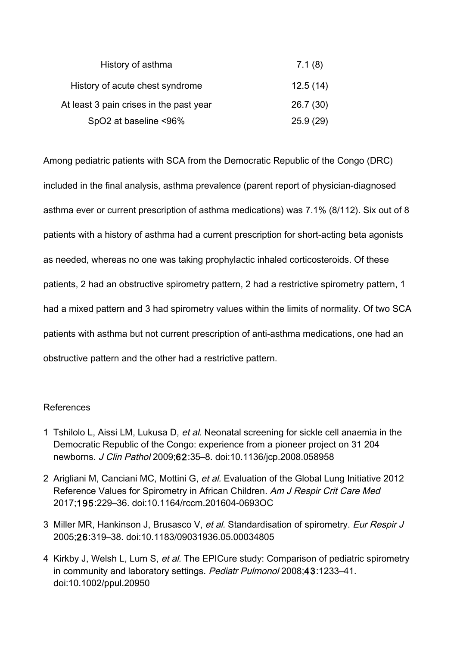| History of asthma                       | 7.1(8)   |
|-----------------------------------------|----------|
| History of acute chest syndrome         | 12.5(14) |
| At least 3 pain crises in the past year | 26.7(30) |
| SpO2 at baseline <96%                   | 25.9(29) |

Among pediatric patients with SCA from the Democratic Republic of the Congo (DRC) included in the final analysis, asthma prevalence (parent report of physician-diagnosed asthma ever or current prescription of asthma medications) was 7.1% (8/112). Six out of 8 patients with a history of asthma had a current prescription for short-acting beta agonists as needed, whereas no one was taking prophylactic inhaled corticosteroids. Of these patients, 2 had an obstructive spirometry pattern, 2 had a restrictive spirometry pattern, 1 had a mixed pattern and 3 had spirometry values within the limits of normality. Of two SCA patients with asthma but not current prescription of anti-asthma medications, one had an obstructive pattern and the other had a restrictive pattern.

# References

- 1 Tshilolo L, Aissi LM, Lukusa D, et al. Neonatal screening for sickle cell anaemia in the Democratic Republic of the Congo: experience from a pioneer project on 31 204 newborns. J Clin Pathol 2009;62:35–8. doi:10.1136/jcp.2008.058958
- 2 Arigliani M, Canciani MC, Mottini G, et al. Evaluation of the Global Lung Initiative 2012 Reference Values for Spirometry in African Children. Am J Respir Crit Care Med 2017;195:229–36. doi:10.1164/rccm.201604-0693OC
- 3 Miller MR, Hankinson J, Brusasco V, et al. Standardisation of spirometry. Eur Respir J 2005;26:319–38. doi:10.1183/09031936.05.00034805
- 4 Kirkby J, Welsh L, Lum S, et al. The EPICure study: Comparison of pediatric spirometry in community and laboratory settings. Pediatr Pulmonol 2008;43:1233–41. doi:10.1002/ppul.20950